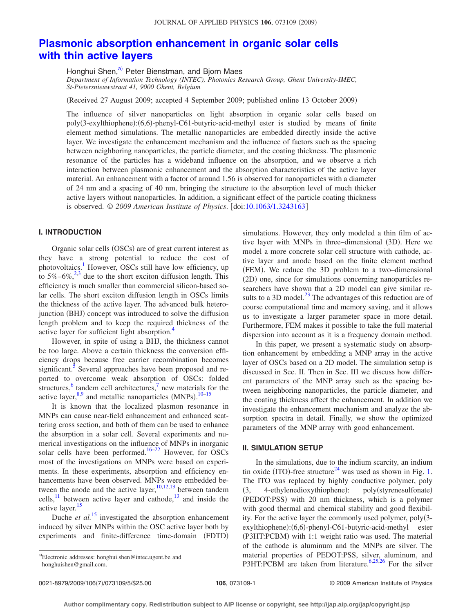# **[Plasmonic absorption enhancement in organic solar cells](http://dx.doi.org/10.1063/1.3243163) [with thin active layers](http://dx.doi.org/10.1063/1.3243163)**

Honghui Shen,<sup>a)</sup> Peter Bienstman, and Bjorn Maes

*Department of Information Technology (INTEC), Photonics Research Group, Ghent University-IMEC, St-Pietersnieuwstraat 41, 9000 Ghent, Belgium*

Received 27 August 2009; accepted 4 September 2009; published online 13 October 2009-

The influence of silver nanoparticles on light absorption in organic solar cells based on poly(3-exylthiophene):(6,6)-phenyl-C61-butyric-acid-methyl ester is studied by means of finite element method simulations. The metallic nanoparticles are embedded directly inside the active layer. We investigate the enhancement mechanism and the influence of factors such as the spacing between neighboring nanoparticles, the particle diameter, and the coating thickness. The plasmonic resonance of the particles has a wideband influence on the absorption, and we observe a rich interaction between plasmonic enhancement and the absorption characteristics of the active layer material. An enhancement with a factor of around 1.56 is observed for nanoparticles with a diameter of 24 nm and a spacing of 40 nm, bringing the structure to the absorption level of much thicker active layers without nanoparticles. In addition, a significant effect of the particle coating thickness is observed. © *2009 American Institute of Physics*. doi[:10.1063/1.3243163](http://dx.doi.org/10.1063/1.3243163)

## **I. INTRODUCTION**

Organic solar cells (OSCs) are of great current interest as they have a strong potential to reduce the cost of photovoltaics.<sup>1</sup> However, OSCs still have low efficiency, up to  $5\% - 6\%,^{2,3}$  $5\% - 6\%,^{2,3}$  $5\% - 6\%,^{2,3}$  due to the short exciton diffusion length. This efficiency is much smaller than commercial silicon-based solar cells. The short exciton diffusion length in OSCs limits the thickness of the active layer. The advanced bulk heterojunction (BHJ) concept was introduced to solve the diffusion length problem and to keep the required thickness of the active layer for sufficient light absorption[.4](#page-4-3)

However, in spite of using a BHJ, the thickness cannot be too large. Above a certain thickness the conversion efficiency drops because free carrier recombination becomes significant.<sup>5</sup> Several approaches have been proposed and reported to overcome weak absorption of OSCs: folded structures, $6$  tandem cell architectures, $7$  new materials for the active layer,  $8.9$  and metallic nanoparticles (MNPs).  $10-15$  $10-15$ 

It is known that the localized plasmon resonance in MNPs can cause near-field enhancement and enhanced scattering cross section, and both of them can be used to enhance the absorption in a solar cell. Several experiments and numerical investigations on the influence of MNPs in inorganic solar cells have been performed.<sup>16[–22](#page-4-12)</sup> However, for OSCs most of the investigations on MNPs were based on experiments. In these experiments, absorption and efficiency enhancements have been observed. MNPs were embedded between the anode and the active layer,  $10,12,13$  $10,12,13$  $10,12,13$  between tandem cells, $11$  between active layer and cathode, $13$  and inside the active layer.<sup>15</sup>

Duche *et al.*<sup>[15](#page-4-10)</sup> investigated the absorption enhancement induced by silver MNPs within the OSC active layer both by experiments and finite-difference time-domain (FDTD)

simulations. However, they only modeled a thin film of active layer with MNPs in three-dimensional (3D). Here we model a more concrete solar cell structure with cathode, active layer and anode based on the finite element method (FEM). We reduce the 3D problem to a two-dimensional (2D) one, since for simulations concerning nanoparticles researchers have shown that a 2D model can give similar results to a 3D model. $^{23}$  The advantages of this reduction are of course computational time and memory saving, and it allows us to investigate a larger parameter space in more detail. Furthermore, FEM makes it possible to take the full material dispersion into account as it is a frequency domain method.

In this paper, we present a systematic study on absorption enhancement by embedding a MNP array in the active layer of OSCs based on a 2D model. The simulation setup is discussed in Sec. II. Then in Sec. III we discuss how different parameters of the MNP array such as the spacing between neighboring nanoparticles, the particle diameter, and the coating thickness affect the enhancement. In addition we investigate the enhancement mechanism and analyze the absorption spectra in detail. Finally, we show the optimized parameters of the MNP array with good enhancement.

## **II. SIMULATION SETUP**

In the simulations, due to the indium scarcity, an indium tin oxide (ITO)-free structure<sup>24</sup> was used as shown in Fig. [1.](#page-1-0) The ITO was replaced by highly conductive polymer, poly  $(3, 4-ethy)$ ethylenedioxythiophene): : poly(styrenesulfonate) (PEDOT:PSS) with 20 nm thickness, which is a polymer with good thermal and chemical stability and good flexibility. For the active layer the commonly used polymer, poly3 exylthiophene):(6,6)-phenyl-C61-butyric-acid-methyl ester (P3HT:PCBM) with 1:1 weight ratio was used. The material of the cathode is aluminum and the MNPs are silver. The material properties of PEDOT:PSS, silver, aluminum, and P3HT:PCBM are taken from literature.<sup>6,[25,](#page-4-18)[26](#page-4-19)</sup> For the silver

<span id="page-0-0"></span>a)Electronic addresses: honghui.shen@intec.ugent.be and honghuishen@gmail.com.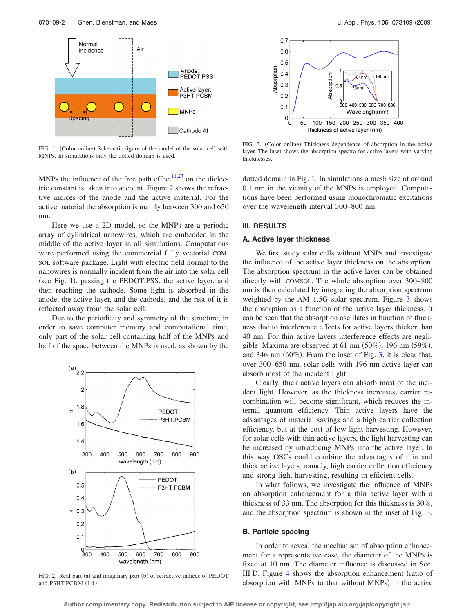<span id="page-1-0"></span>

FIG. 1. (Color online) Schematic figure of the model of the solar cell with MNPs. In simulations only the dotted domain is used.

MNPs the influence of the free path effect<sup>11[,27](#page-4-20)</sup> on the dielectric constant is taken into account. Figure [2](#page-1-1) shows the refractive indices of the anode and the active material. For the active material the absorption is mainly between 300 and 650 nm.

Here we use a 2D model, so the MNPs are a periodic array of cylindrical nanowires, which are embedded in the middle of the active layer in all simulations. Computations were performed using the commercial fully vectorial COM-SOL software package. Light with electric field normal to the nanowires is normally incident from the air into the solar cell (see Fig. [1](#page-1-0)), passing the PEDOT:PSS, the active layer, and then reaching the cathode. Some light is absorbed in the anode, the active layer, and the cathode, and the rest of it is reflected away from the solar cell.

Due to the periodicity and symmetry of the structure, in order to save computer memory and computational time, only part of the solar cell containing half of the MNPs and half of the space between the MNPs is used, as shown by the

<span id="page-1-1"></span>

FIG. 2. Real part (a) and imaginary part (b) of refractive indices of PEDOT and P3HT:PCBM (1:1).

<span id="page-1-2"></span>

FIG. 3. (Color online) Thickness dependence of absorption in the active layer. The inset shows the absorption spectra for active layers with varying thicknesses.

dotted domain in Fig. [1.](#page-1-0) In simulations a mesh size of around 0.1 nm in the vicinity of the MNPs is employed. Computations have been performed using monochromatic excitations over the wavelength interval 300–800 nm.

#### **III. RESULTS**

### **A. Active layer thickness**

We first study solar cells without MNPs and investigate the influence of the active layer thickness on the absorption. The absorption spectrum in the active layer can be obtained directly with COMSOL. The whole absorption over 300–800 nm is then calculated by integrating the absorption spectrum weighted by the AM 1.5G solar spectrum. Figure [3](#page-1-2) shows the absorption as a function of the active layer thickness. It can be seen that the absorption oscillates in function of thickness due to interference effects for active layers thicker than 40 nm. For thin active layers interference effects are negligible. Maxima are observed at 61 nm  $(50\%)$ , 196 nm  $(59\%)$ , and 346 nm  $(60\%)$ . From the inset of Fig. [3,](#page-1-2) it is clear that, over 300–650 nm, solar cells with 196 nm active layer can absorb most of the incident light.

Clearly, thick active layers can absorb most of the incident light. However, as the thickness increases, carrier recombination will become significant, which reduces the internal quantum efficiency. Thin active layers have the advantages of material savings and a high carrier collection efficiency, but at the cost of low light harvesting. However, for solar cells with thin active layers, the light harvesting can be increased by introducing MNPs into the active layer. In this way OSCs could combine the advantages of thin and thick active layers, namely, high carrier collection efficiency and strong light harvesting, resulting in efficient cells.

In what follows, we investigate the influence of MNPs on absorption enhancement for a thin active layer with a thickness of 33 nm. The absorption for this thickness is 30%, and the absorption spectrum is shown in the inset of Fig. [3.](#page-1-2)

#### **B. Particle spacing**

In order to reveal the mechanism of absorption enhancement for a representative case, the diameter of the MNPs is fixed at 10 nm. The diameter influence is discussed in Sec. III D. Figure [4](#page-2-0) shows the absorption enhancement (ratio of absorption with MNPs to that without MNPs) in the active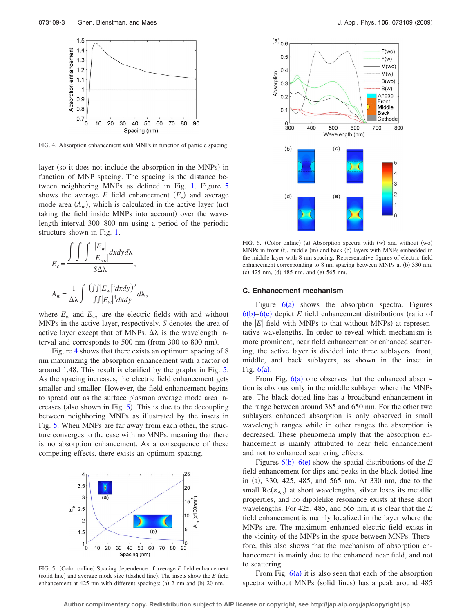<span id="page-2-0"></span>

FIG. 4. Absorption enhancement with MNPs in function of particle spacing.

layer (so it does not include the absorption in the MNPs) in function of MNP spacing. The spacing is the distance between neighboring MNPs as defined in Fig. [1.](#page-1-0) Figure [5](#page-2-1) shows the average  $E$  field enhancement  $(E_e)$  and average mode area  $(A_m)$ , which is calculated in the active layer (not taking the field inside MNPs into account) over the wavelength interval 300–800 nm using a period of the periodic structure shown in Fig. [1,](#page-1-0)

$$
E_e = \frac{\int \int \int \frac{|E_w|}{|E_{wo}|} dxdy d\lambda}{S\Delta\lambda},
$$
  

$$
A_m = \frac{1}{\Delta\lambda} \int \frac{(\int |E_w|^2 dxdy)^2}{\int \int |E_w|^4 dxdy} d\lambda,
$$

where  $E_w$  and  $E_{wo}$  are the electric fields with and without MNPs in the active layer, respectively. *S* denotes the area of active layer except that of MNPs.  $\Delta\lambda$  is the wavelength interval and corresponds to 500 nm (from 300 to 800 nm).

Figure [4](#page-2-0) shows that there exists an optimum spacing of 8 nm maximizing the absorption enhancement with a factor of around 1.48. This result is clarified by the graphs in Fig. [5.](#page-2-1) As the spacing increases, the electric field enhancement gets smaller and smaller. However, the field enhancement begins to spread out as the surface plasmon average mode area increases (also shown in Fig.  $5$ ). This is due to the decoupling between neighboring MNPs as illustrated by the insets in Fig. [5.](#page-2-1) When MNPs are far away from each other, the structure converges to the case with no MNPs, meaning that there is no absorption enhancement. As a consequence of these competing effects, there exists an optimum spacing.

<span id="page-2-1"></span>

FIG. 5. (Color online) Spacing dependence of average *E* field enhancement (solid line) and average mode size (dashed line). The insets show the *E* field enhancement at 425 nm with different spacings: (a) 2 nm and (b) 20 nm.

<span id="page-2-2"></span>

FIG. 6. (Color online) (a) Absorption spectra with (w) and without (wo) MNPs in front (f), middle (m) and back (b) layers with MNPs embedded in the middle layer with 8 nm spacing. Representative figures of electric field enhancement corresponding to 8 nm spacing between MNPs at (b) 330 nm, (c) 425 nm, (d) 485 nm, and (e) 565 nm.

#### **C. Enhancement mechanism**

Figure  $6(a)$  $6(a)$  shows the absorption spectra. Figures  $6(b) - 6(e)$  $6(b) - 6(e)$  depict *E* field enhancement distributions (ratio of the  $|E|$  field with MNPs to that without MNPs) at representative wavelengths. In order to reveal which mechanism is more prominent, near field enhancement or enhanced scattering, the active layer is divided into three sublayers: front, middle, and back sublayers, as shown in the inset in Fig.  $6(a)$  $6(a)$ .

From Fig.  $6(a)$  $6(a)$  one observes that the enhanced absorption is obvious only in the middle sublayer where the MNPs are. The black dotted line has a broadband enhancement in the range between around 385 and 650 nm. For the other two sublayers enhanced absorption is only observed in small wavelength ranges while in other ranges the absorption is decreased. These phenomena imply that the absorption enhancement is mainly attributed to near field enhancement and not to enhanced scattering effects.

Figures  $6(b)$  $6(b)$ – $6(e)$  show the spatial distributions of the *E* field enhancement for dips and peaks in the black dotted line in (a), 330, 425, 485, and 565 nm. At 330 nm, due to the small  $Re(\varepsilon_{Ag})$  at short wavelengths, silver loses its metallic properties, and no dipolelike resonance exists at these short wavelengths. For 425, 485, and 565 nm, it is clear that the *E* field enhancement is mainly localized in the layer where the MNPs are. The maximum enhanced electric field exists in the vicinity of the MNPs in the space between MNPs. Therefore, this also shows that the mechanism of absorption enhancement is mainly due to the enhanced near field, and not to scattering.

From Fig.  $6(a)$  $6(a)$  it is also seen that each of the absorption spectra without MNPs (solid lines) has a peak around 485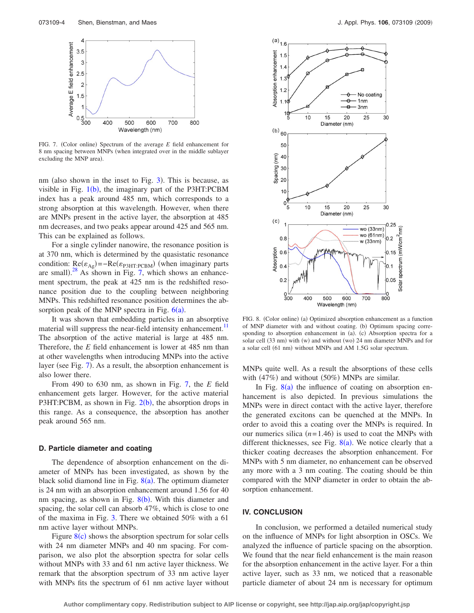<span id="page-3-0"></span>

FIG. 7. (Color online) Spectrum of the average *E* field enhancement for 8 nm spacing between MNPs (when integrated over in the middle sublayer excluding the MNP area).

nm (also shown in the inset to Fig. [3](#page-1-2)). This is because, as visible in Fig.  $1(b)$  $1(b)$ , the imaginary part of the P3HT:PCBM index has a peak around 485 nm, which corresponds to a strong absorption at this wavelength. However, when there are MNPs present in the active layer, the absorption at 485 nm decreases, and two peaks appear around 425 and 565 nm. This can be explained as follows.

For a single cylinder nanowire, the resonance position is at 370 nm, which is determined by the quasistatic resonance condition:  $\text{Re}(\varepsilon_{\text{Ag}}) = -\text{Re}(\varepsilon_{\text{P3HT:PCBM}})$  (when imaginary parts are small). $^{28}$  $^{28}$  $^{28}$  As shown in Fig. [7,](#page-3-0) which shows an enhancement spectrum, the peak at 425 nm is the redshifted resonance position due to the coupling between neighboring MNPs. This redshifted resonance position determines the absorption peak of the MNP spectra in Fig.  $6(a)$  $6(a)$ .

It was shown that embedding particles in an absorptive material will suppress the near-field intensity enhancement.<sup>11</sup> The absorption of the active material is large at 485 nm. Therefore, the *E* field enhancement is lower at 485 nm than at other wavelengths when introducing MNPs into the active layer (see Fig. [7](#page-3-0)). As a result, the absorption enhancement is also lower there.

From 490 to 630 nm, as shown in Fig. [7,](#page-3-0) the *E* field enhancement gets larger. However, for the active material P3HT:PCBM, as shown in Fig.  $2(b)$  $2(b)$ , the absorption drops in this range. As a consequence, the absorption has another peak around 565 nm.

#### **D. Particle diameter and coating**

The dependence of absorption enhancement on the diameter of MNPs has been investigated, as shown by the black solid diamond line in Fig.  $8(a)$  $8(a)$ . The optimum diameter is 24 nm with an absorption enhancement around 1.56 for 40 nm spacing, as shown in Fig. [8](#page-3-1)(b). With this diameter and spacing, the solar cell can absorb 47%, which is close to one of the maxima in Fig. [3.](#page-1-2) There we obtained 50% with a 61 nm active layer without MNPs.

Figure  $8(c)$  $8(c)$  shows the absorption spectrum for solar cells with 24 nm diameter MNPs and 40 nm spacing. For comparison, we also plot the absorption spectra for solar cells without MNPs with 33 and 61 nm active layer thickness. We remark that the absorption spectrum of 33 nm active layer with MNPs fits the spectrum of 61 nm active layer without

<span id="page-3-1"></span>

FIG. 8. (Color online) (a) Optimized absorption enhancement as a function of MNP diameter with and without coating. (b) Optimum spacing corresponding to absorption enhancement in (a). (c) Absorption spectra for a solar cell (33 nm) with (w) and without (wo) 24 nm diameter MNPs and for a solar cell (61 nm) without MNPs and AM 1.5G solar spectrum.

MNPs quite well. As a result the absorptions of these cells with  $(47%)$  and without  $(50%)$  MNPs are similar.

In Fig.  $8(a)$  $8(a)$  the influence of coating on absorption enhancement is also depicted. In previous simulations the MNPs were in direct contact with the active layer, therefore the generated excitons can be quenched at the MNPs. In order to avoid this a coating over the MNPs is required. In our numerics silica  $(n=1.46)$  is used to coat the MNPs with different thicknesses, see Fig.  $8(a)$  $8(a)$ . We notice clearly that a thicker coating decreases the absorption enhancement. For MNPs with 5 nm diameter, no enhancement can be observed any more with a 3 nm coating. The coating should be thin compared with the MNP diameter in order to obtain the absorption enhancement.

#### **IV. CONCLUSION**

In conclusion, we performed a detailed numerical study on the influence of MNPs for light absorption in OSCs. We analyzed the influence of particle spacing on the absorption. We found that the near field enhancement is the main reason for the absorption enhancement in the active layer. For a thin active layer, such as 33 nm, we noticed that a reasonable particle diameter of about 24 nm is necessary for optimum